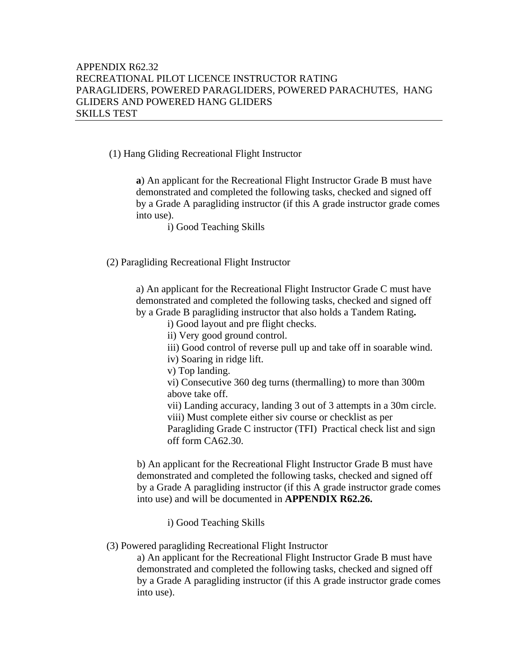## (1) Hang Gliding Recreational Flight Instructor

 **a**) An applicant for the Recreational Flight Instructor Grade B must have demonstrated and completed the following tasks, checked and signed off by a Grade A paragliding instructor (if this A grade instructor grade comes into use).

i) Good Teaching Skills

(2) Paragliding Recreational Flight Instructor

a) An applicant for the Recreational Flight Instructor Grade C must have demonstrated and completed the following tasks, checked and signed off by a Grade B paragliding instructor that also holds a Tandem Rating**.** 

i) Good layout and pre flight checks.

ii) Very good ground control.

iii) Good control of reverse pull up and take off in soarable wind.

iv) Soaring in ridge lift.

v) Top landing.

vi) Consecutive 360 deg turns (thermalling) to more than 300m above take off.

 vii) Landing accuracy, landing 3 out of 3 attempts in a 30m circle. viii) Must complete either siv course or checklist as per Paragliding Grade C instructor (TFI) Practical check list and sign off form CA62.30.

b) An applicant for the Recreational Flight Instructor Grade B must have demonstrated and completed the following tasks, checked and signed off by a Grade A paragliding instructor (if this A grade instructor grade comes into use) and will be documented in **APPENDIX R62.26.**

i) Good Teaching Skills

(3) Powered paragliding Recreational Flight Instructor

a) An applicant for the Recreational Flight Instructor Grade B must have demonstrated and completed the following tasks, checked and signed off by a Grade A paragliding instructor (if this A grade instructor grade comes into use).